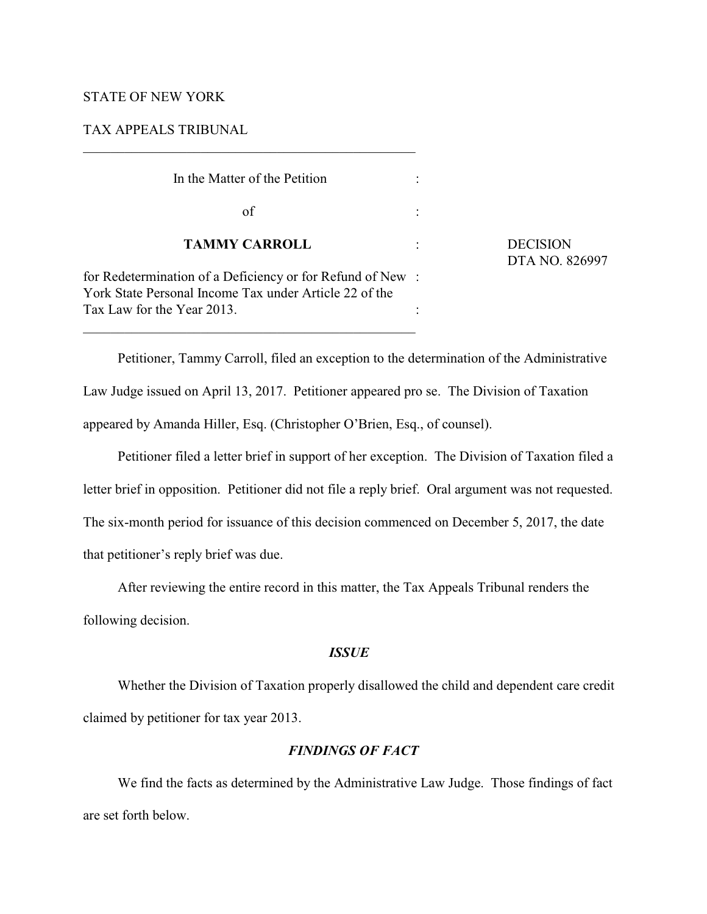### STATE OF NEW YORK

TAX APPEALS TRIBUNAL

 $\mathcal{L}_\mathcal{L} = \{ \mathcal{L}_\mathcal{L} = \{ \mathcal{L}_\mathcal{L} = \{ \mathcal{L}_\mathcal{L} = \{ \mathcal{L}_\mathcal{L} = \{ \mathcal{L}_\mathcal{L} = \{ \mathcal{L}_\mathcal{L} = \{ \mathcal{L}_\mathcal{L} = \{ \mathcal{L}_\mathcal{L} = \{ \mathcal{L}_\mathcal{L} = \{ \mathcal{L}_\mathcal{L} = \{ \mathcal{L}_\mathcal{L} = \{ \mathcal{L}_\mathcal{L} = \{ \mathcal{L}_\mathcal{L} = \{ \mathcal{L}_\mathcal{$ 

| In the Matter of the Petition                                                                                        |                |                                   |
|----------------------------------------------------------------------------------------------------------------------|----------------|-----------------------------------|
| of                                                                                                                   |                |                                   |
| <b>TAMMY CARROLL</b>                                                                                                 | $\ddot{\cdot}$ | <b>DECISION</b><br>DTA NO. 826997 |
| for Redetermination of a Deficiency or for Refund of New :<br>York State Personal Income Tax under Article 22 of the |                |                                   |
| Tax Law for the Year 2013.                                                                                           |                |                                   |

Petitioner, Tammy Carroll, filed an exception to the determination of the Administrative Law Judge issued on April 13, 2017. Petitioner appeared pro se. The Division of Taxation appeared by Amanda Hiller, Esq. (Christopher O'Brien, Esq., of counsel).

Petitioner filed a letter brief in support of her exception. The Division of Taxation filed a letter brief in opposition. Petitioner did not file a reply brief. Oral argument was not requested. The six-month period for issuance of this decision commenced on December 5, 2017, the date that petitioner's reply brief was due.

After reviewing the entire record in this matter, the Tax Appeals Tribunal renders the following decision.

### *ISSUE*

Whether the Division of Taxation properly disallowed the child and dependent care credit claimed by petitioner for tax year 2013.

## *FINDINGS OF FACT*

We find the facts as determined by the Administrative Law Judge. Those findings of fact are set forth below.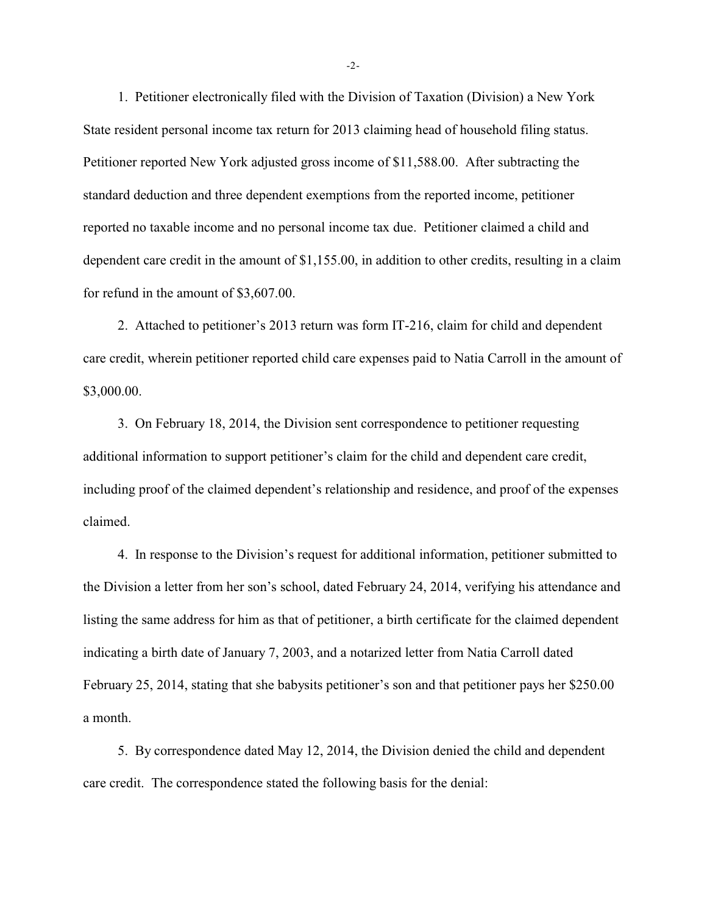1. Petitioner electronically filed with the Division of Taxation (Division) a New York State resident personal income tax return for 2013 claiming head of household filing status. Petitioner reported New York adjusted gross income of \$11,588.00. After subtracting the standard deduction and three dependent exemptions from the reported income, petitioner reported no taxable income and no personal income tax due. Petitioner claimed a child and dependent care credit in the amount of \$1,155.00, in addition to other credits, resulting in a claim for refund in the amount of \$3,607.00.

2. Attached to petitioner's 2013 return was form IT-216, claim for child and dependent care credit, wherein petitioner reported child care expenses paid to Natia Carroll in the amount of \$3,000.00.

3. On February 18, 2014, the Division sent correspondence to petitioner requesting additional information to support petitioner's claim for the child and dependent care credit, including proof of the claimed dependent's relationship and residence, and proof of the expenses claimed.

4. In response to the Division's request for additional information, petitioner submitted to the Division a letter from her son's school, dated February 24, 2014, verifying his attendance and listing the same address for him as that of petitioner, a birth certificate for the claimed dependent indicating a birth date of January 7, 2003, and a notarized letter from Natia Carroll dated February 25, 2014, stating that she babysits petitioner's son and that petitioner pays her \$250.00 a month.

5. By correspondence dated May 12, 2014, the Division denied the child and dependent care credit. The correspondence stated the following basis for the denial:

-2-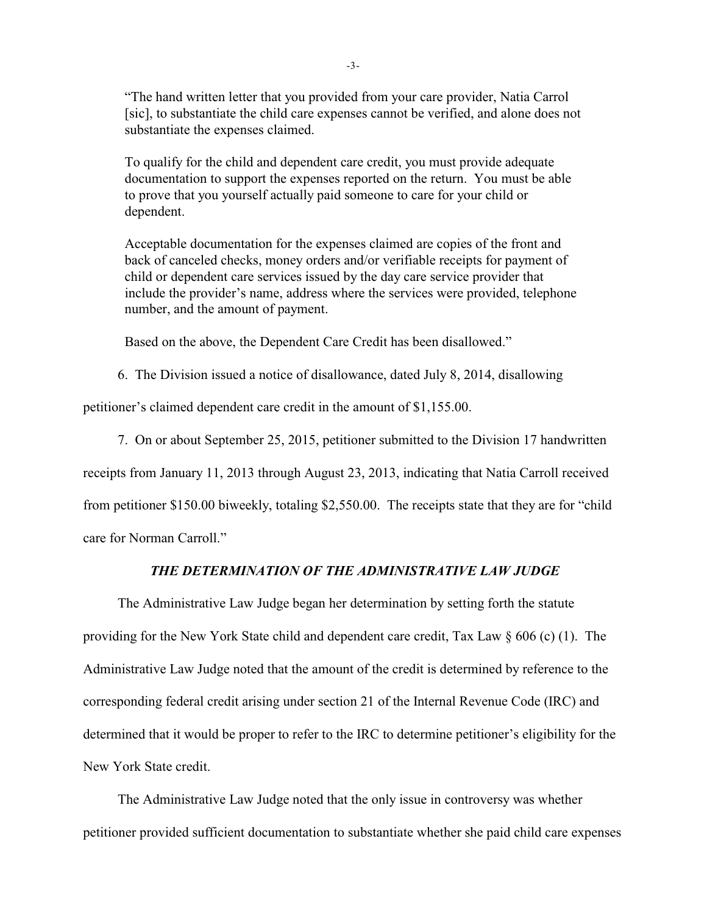"The hand written letter that you provided from your care provider, Natia Carrol [sic], to substantiate the child care expenses cannot be verified, and alone does not substantiate the expenses claimed.

To qualify for the child and dependent care credit, you must provide adequate documentation to support the expenses reported on the return. You must be able to prove that you yourself actually paid someone to care for your child or dependent.

Acceptable documentation for the expenses claimed are copies of the front and back of canceled checks, money orders and/or verifiable receipts for payment of child or dependent care services issued by the day care service provider that include the provider's name, address where the services were provided, telephone number, and the amount of payment.

Based on the above, the Dependent Care Credit has been disallowed."

6. The Division issued a notice of disallowance, dated July 8, 2014, disallowing

petitioner's claimed dependent care credit in the amount of \$1,155.00.

7. On or about September 25, 2015, petitioner submitted to the Division 17 handwritten

receipts from January 11, 2013 through August 23, 2013, indicating that Natia Carroll received

from petitioner \$150.00 biweekly, totaling \$2,550.00. The receipts state that they are for "child

care for Norman Carroll."

# *THE DETERMINATION OF THE ADMINISTRATIVE LAW JUDGE*

The Administrative Law Judge began her determination by setting forth the statute providing for the New York State child and dependent care credit, Tax Law  $\S 606$  (c) (1). The Administrative Law Judge noted that the amount of the credit is determined by reference to the corresponding federal credit arising under section 21 of the Internal Revenue Code (IRC) and determined that it would be proper to refer to the IRC to determine petitioner's eligibility for the New York State credit.

The Administrative Law Judge noted that the only issue in controversy was whether petitioner provided sufficient documentation to substantiate whether she paid child care expenses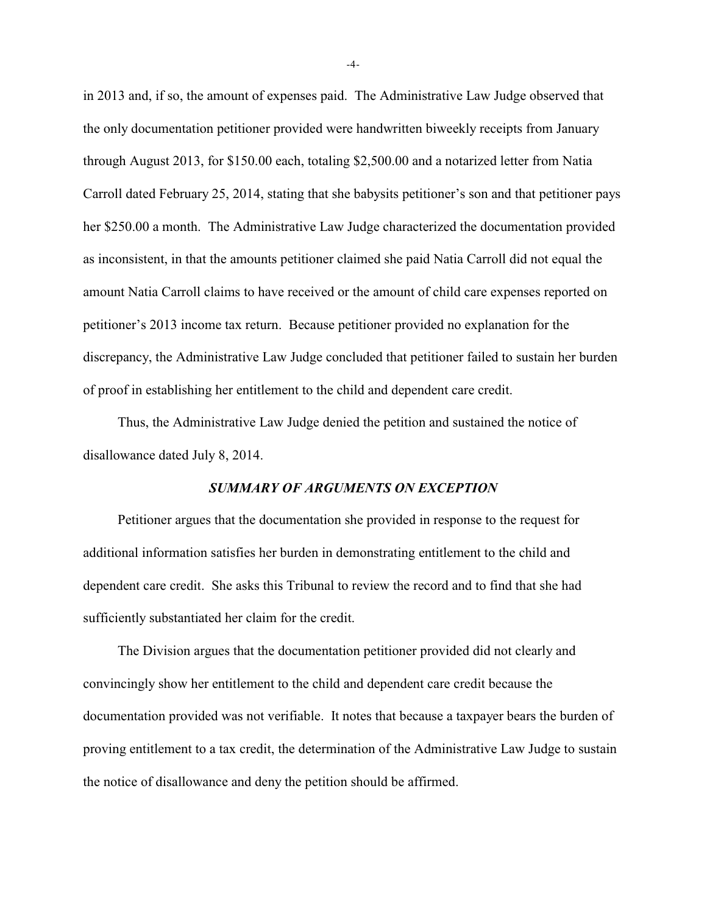in 2013 and, if so, the amount of expenses paid. The Administrative Law Judge observed that the only documentation petitioner provided were handwritten biweekly receipts from January through August 2013, for \$150.00 each, totaling \$2,500.00 and a notarized letter from Natia Carroll dated February 25, 2014, stating that she babysits petitioner's son and that petitioner pays her \$250.00 a month. The Administrative Law Judge characterized the documentation provided as inconsistent, in that the amounts petitioner claimed she paid Natia Carroll did not equal the amount Natia Carroll claims to have received or the amount of child care expenses reported on petitioner's 2013 income tax return. Because petitioner provided no explanation for the discrepancy, the Administrative Law Judge concluded that petitioner failed to sustain her burden of proof in establishing her entitlement to the child and dependent care credit.

Thus, the Administrative Law Judge denied the petition and sustained the notice of disallowance dated July 8, 2014.

#### *SUMMARY OF ARGUMENTS ON EXCEPTION*

Petitioner argues that the documentation she provided in response to the request for additional information satisfies her burden in demonstrating entitlement to the child and dependent care credit. She asks this Tribunal to review the record and to find that she had sufficiently substantiated her claim for the credit.

The Division argues that the documentation petitioner provided did not clearly and convincingly show her entitlement to the child and dependent care credit because the documentation provided was not verifiable. It notes that because a taxpayer bears the burden of proving entitlement to a tax credit, the determination of the Administrative Law Judge to sustain the notice of disallowance and deny the petition should be affirmed.

-4-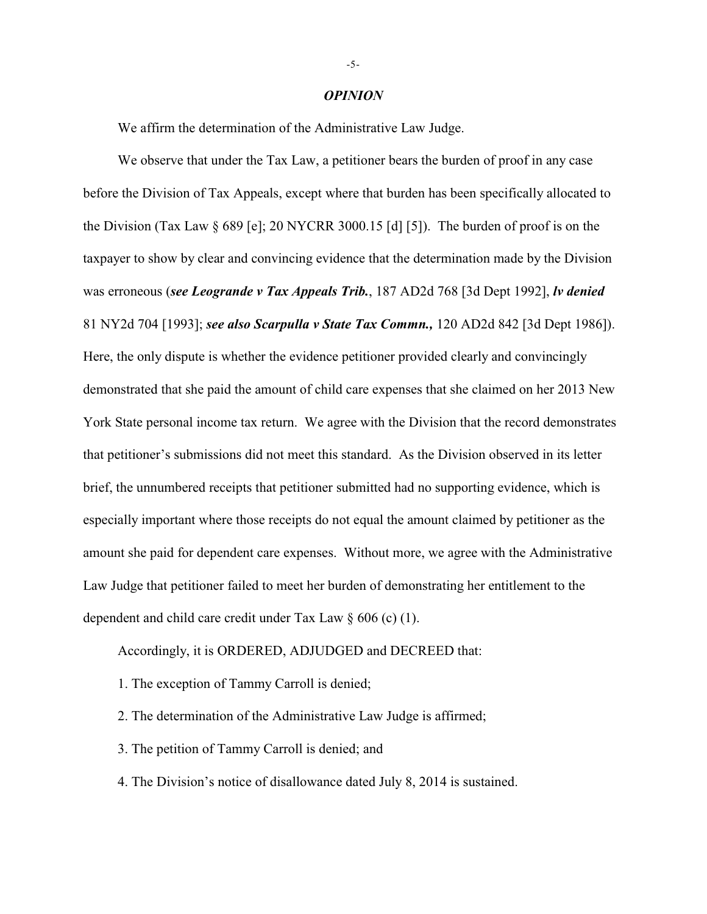#### *OPINION*

We affirm the determination of the Administrative Law Judge.

We observe that under the Tax Law, a petitioner bears the burden of proof in any case before the Division of Tax Appeals, except where that burden has been specifically allocated to the Division (Tax Law § 689 [e]; 20 NYCRR 3000.15 [d] [5]). The burden of proof is on the taxpayer to show by clear and convincing evidence that the determination made by the Division was erroneous (*see Leogrande v Tax Appeals Trib.*, 187 AD2d 768 [3d Dept 1992], *lv denied*  81 NY2d 704 [1993]; *see also Scarpulla v State Tax Commn.,* 120 AD2d 842 [3d Dept 1986]). Here, the only dispute is whether the evidence petitioner provided clearly and convincingly demonstrated that she paid the amount of child care expenses that she claimed on her 2013 New York State personal income tax return. We agree with the Division that the record demonstrates that petitioner's submissions did not meet this standard. As the Division observed in its letter brief, the unnumbered receipts that petitioner submitted had no supporting evidence, which is especially important where those receipts do not equal the amount claimed by petitioner as the amount she paid for dependent care expenses. Without more, we agree with the Administrative Law Judge that petitioner failed to meet her burden of demonstrating her entitlement to the dependent and child care credit under Tax Law § 606 (c) (1).

Accordingly, it is ORDERED, ADJUDGED and DECREED that:

- 1. The exception of Tammy Carroll is denied;
- 2. The determination of the Administrative Law Judge is affirmed;
- 3. The petition of Tammy Carroll is denied; and
- 4. The Division's notice of disallowance dated July 8, 2014 is sustained.

-5-